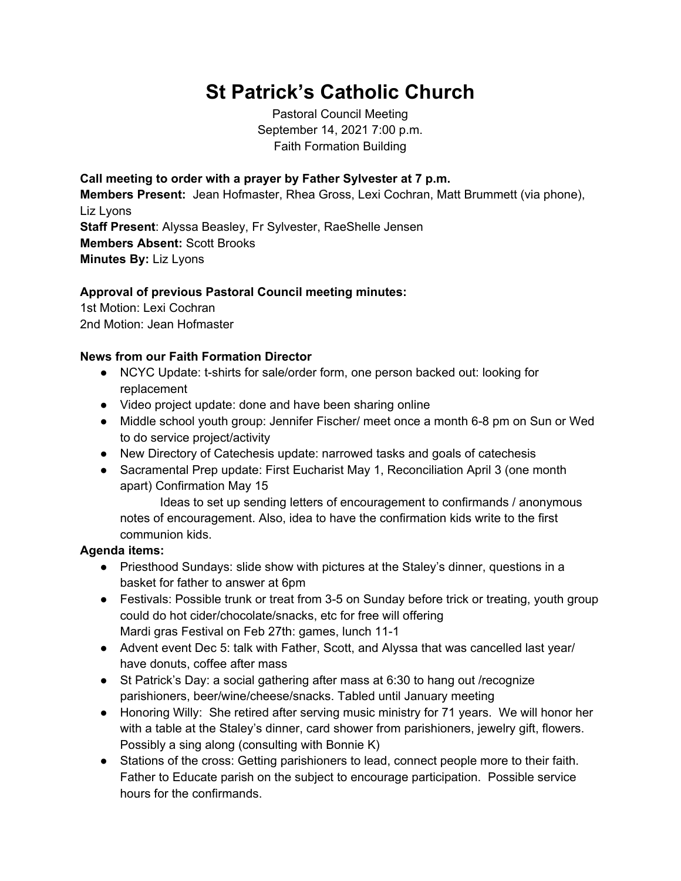## **St Patrick's Catholic Church**

Pastoral Council Meeting September 14, 2021 7:00 p.m. Faith Formation Building

**Call meeting to order with a prayer by Father Sylvester at 7 p.m. Members Present:** Jean Hofmaster, Rhea Gross, Lexi Cochran, Matt Brummett (via phone), Liz Lyons **Staff Present**: Alyssa Beasley, Fr Sylvester, RaeShelle Jensen **Members Absent:** Scott Brooks **Minutes By:** Liz Lyons

## **Approval of previous Pastoral Council meeting minutes:**

1st Motion: Lexi Cochran 2nd Motion: Jean Hofmaster

## **News from our Faith Formation Director**

- NCYC Update: t-shirts for sale/order form, one person backed out: looking for replacement
- Video project update: done and have been sharing online
- Middle school youth group: Jennifer Fischer/ meet once a month 6-8 pm on Sun or Wed to do service project/activity
- New Directory of Catechesis update: narrowed tasks and goals of catechesis
- Sacramental Prep update: First Eucharist May 1, Reconciliation April 3 (one month apart) Confirmation May 15

Ideas to set up sending letters of encouragement to confirmands / anonymous notes of encouragement. Also, idea to have the confirmation kids write to the first communion kids.

## **Agenda items:**

- Priesthood Sundays: slide show with pictures at the Staley's dinner, questions in a basket for father to answer at 6pm
- Festivals: Possible trunk or treat from 3-5 on Sunday before trick or treating, youth group could do hot cider/chocolate/snacks, etc for free will offering Mardi gras Festival on Feb 27th: games, lunch 11-1
- Advent event Dec 5: talk with Father, Scott, and Alyssa that was cancelled last year/ have donuts, coffee after mass
- St Patrick's Day: a social gathering after mass at 6:30 to hang out /recognize parishioners, beer/wine/cheese/snacks. Tabled until January meeting
- Honoring Willy: She retired after serving music ministry for 71 years. We will honor her with a table at the Staley's dinner, card shower from parishioners, jewelry gift, flowers. Possibly a sing along (consulting with Bonnie K)
- Stations of the cross: Getting parishioners to lead, connect people more to their faith. Father to Educate parish on the subject to encourage participation. Possible service hours for the confirmands.